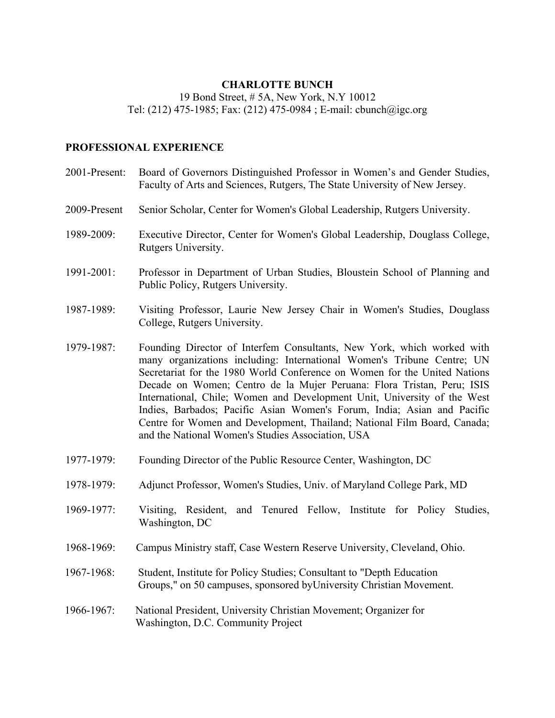### **CHARLOTTE BUNCH**

19 Bond Street, # 5A, New York, N.Y 10012 Tel: (212) 475-1985; Fax: (212) 475-0984 ; E-mail: cbunch@igc.org

#### **PROFESSIONAL EXPERIENCE**

- 2001-Present: Board of Governors Distinguished Professor in Women's and Gender Studies, Faculty of Arts and Sciences, Rutgers, The State University of New Jersey. 2009-Present Senior Scholar, Center for Women's Global Leadership, Rutgers University. 1989-2009: Executive Director, Center for Women's Global Leadership, Douglass College, Rutgers University. 1991-2001: Professor in Department of Urban Studies, Bloustein School of Planning and Public Policy, Rutgers University. 1987-1989: Visiting Professor, Laurie New Jersey Chair in Women's Studies, Douglass College, Rutgers University. 1979-1987: Founding Director of Interfem Consultants, New York, which worked with many organizations including: International Women's Tribune Centre; UN Secretariat for the 1980 World Conference on Women for the United Nations Decade on Women; Centro de la Mujer Peruana: Flora Tristan, Peru; ISIS International, Chile; Women and Development Unit, University of the West Indies, Barbados; Pacific Asian Women's Forum, India; Asian and Pacific Centre for Women and Development, Thailand; National Film Board, Canada; and the National Women's Studies Association, USA
- 1977-1979: Founding Director of the Public Resource Center, Washington, DC
- 1978-1979: Adjunct Professor, Women's Studies, Univ. of Maryland College Park, MD
- 1969-1977: Visiting, Resident, and Tenured Fellow, Institute for Policy Studies, Washington, DC
- 1968-1969: Campus Ministry staff, Case Western Reserve University, Cleveland, Ohio.
- 1967-1968: Student, Institute for Policy Studies; Consultant to "Depth Education Groups," on 50 campuses, sponsored byUniversity Christian Movement.
- 1966-1967: National President, University Christian Movement; Organizer for Washington, D.C. Community Project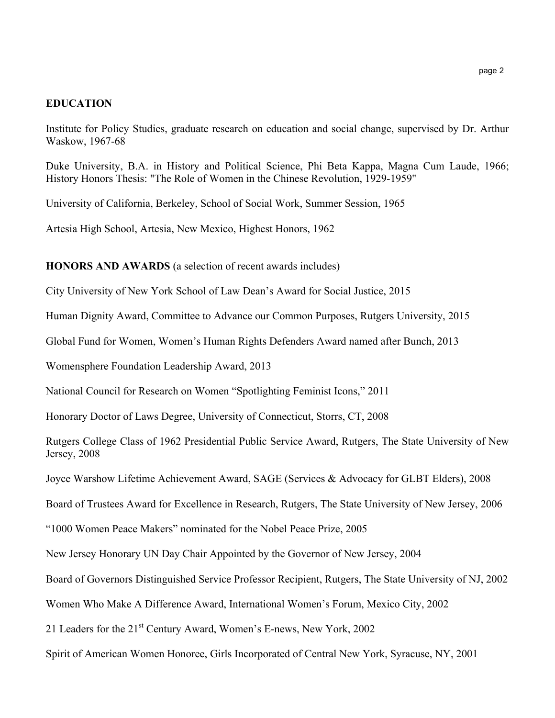#### **EDUCATION**

Institute for Policy Studies, graduate research on education and social change, supervised by Dr. Arthur Waskow, 1967-68

Duke University, B.A. in History and Political Science, Phi Beta Kappa, Magna Cum Laude, 1966; History Honors Thesis: "The Role of Women in the Chinese Revolution, 1929-1959"

University of California, Berkeley, School of Social Work, Summer Session, 1965

Artesia High School, Artesia, New Mexico, Highest Honors, 1962

**HONORS AND AWARDS** (a selection of recent awards includes)

City University of New York School of Law Dean's Award for Social Justice, 2015

Human Dignity Award, Committee to Advance our Common Purposes, Rutgers University, 2015

Global Fund for Women, Women's Human Rights Defenders Award named after Bunch, 2013

Womensphere Foundation Leadership Award, 2013

National Council for Research on Women "Spotlighting Feminist Icons," 2011

Honorary Doctor of Laws Degree, University of Connecticut, Storrs, CT, 2008

Rutgers College Class of 1962 Presidential Public Service Award, Rutgers, The State University of New Jersey, 2008

Joyce Warshow Lifetime Achievement Award, SAGE (Services & Advocacy for GLBT Elders), 2008

Board of Trustees Award for Excellence in Research, Rutgers, The State University of New Jersey, 2006

"1000 Women Peace Makers" nominated for the Nobel Peace Prize, 2005

New Jersey Honorary UN Day Chair Appointed by the Governor of New Jersey, 2004

Board of Governors Distinguished Service Professor Recipient, Rutgers, The State University of NJ, 2002

Women Who Make A Difference Award, International Women's Forum, Mexico City, 2002

21 Leaders for the 21<sup>st</sup> Century Award, Women's E-news, New York, 2002

Spirit of American Women Honoree, Girls Incorporated of Central New York, Syracuse, NY, 2001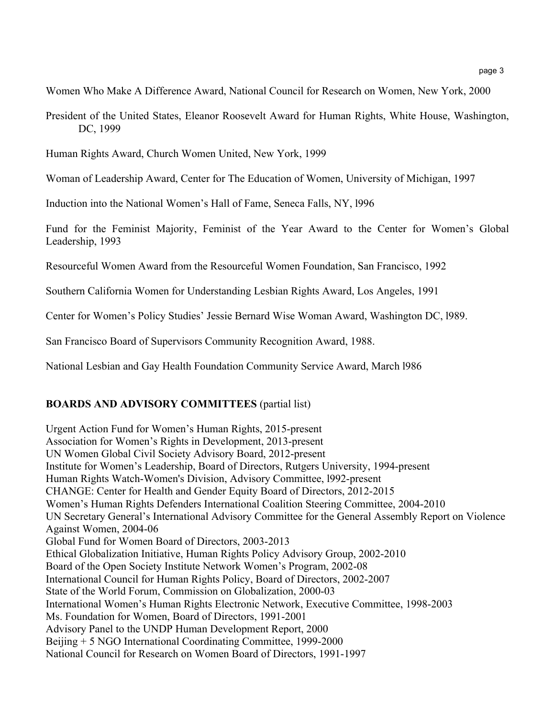Women Who Make A Difference Award, National Council for Research on Women, New York, 2000

President of the United States, Eleanor Roosevelt Award for Human Rights, White House, Washington, DC, 1999

Human Rights Award, Church Women United, New York, 1999

Woman of Leadership Award, Center for The Education of Women, University of Michigan, 1997

Induction into the National Women's Hall of Fame, Seneca Falls, NY, l996

Fund for the Feminist Majority, Feminist of the Year Award to the Center for Women's Global Leadership, 1993

Resourceful Women Award from the Resourceful Women Foundation, San Francisco, 1992

Southern California Women for Understanding Lesbian Rights Award, Los Angeles, 1991

Center for Women's Policy Studies' Jessie Bernard Wise Woman Award, Washington DC, l989.

San Francisco Board of Supervisors Community Recognition Award, 1988.

National Lesbian and Gay Health Foundation Community Service Award, March l986

### **BOARDS AND ADVISORY COMMITTEES** (partial list)

Urgent Action Fund for Women's Human Rights, 2015-present Association for Women's Rights in Development, 2013-present UN Women Global Civil Society Advisory Board, 2012-present Institute for Women's Leadership, Board of Directors, Rutgers University, 1994-present Human Rights Watch-Women's Division, Advisory Committee, l992-present CHANGE: Center for Health and Gender Equity Board of Directors, 2012-2015 Women's Human Rights Defenders International Coalition Steering Committee, 2004-2010 UN Secretary General's International Advisory Committee for the General Assembly Report on Violence Against Women, 2004-06 Global Fund for Women Board of Directors, 2003-2013 Ethical Globalization Initiative, Human Rights Policy Advisory Group, 2002-2010 Board of the Open Society Institute Network Women's Program, 2002-08 International Council for Human Rights Policy, Board of Directors, 2002-2007 State of the World Forum, Commission on Globalization, 2000-03 International Women's Human Rights Electronic Network, Executive Committee, 1998-2003 Ms. Foundation for Women, Board of Directors, 1991-2001 Advisory Panel to the UNDP Human Development Report, 2000 Beijing + 5 NGO International Coordinating Committee, 1999-2000 National Council for Research on Women Board of Directors, 1991-1997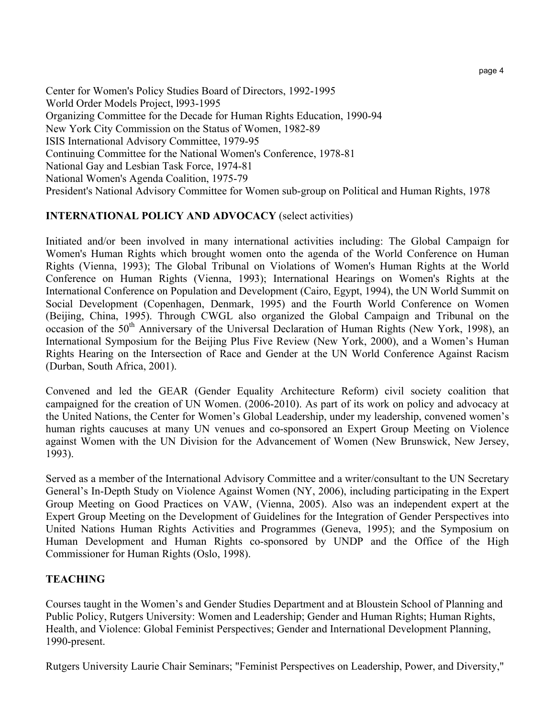Center for Women's Policy Studies Board of Directors, 1992-1995 World Order Models Project, l993-1995 Organizing Committee for the Decade for Human Rights Education, 1990-94 New York City Commission on the Status of Women, 1982-89 ISIS International Advisory Committee, 1979-95 Continuing Committee for the National Women's Conference, 1978-81 National Gay and Lesbian Task Force, 1974-81 National Women's Agenda Coalition, 1975-79 President's National Advisory Committee for Women sub-group on Political and Human Rights, 1978

## **INTERNATIONAL POLICY AND ADVOCACY** (select activities)

Initiated and/or been involved in many international activities including: The Global Campaign for Women's Human Rights which brought women onto the agenda of the World Conference on Human Rights (Vienna, 1993); The Global Tribunal on Violations of Women's Human Rights at the World Conference on Human Rights (Vienna, 1993); International Hearings on Women's Rights at the International Conference on Population and Development (Cairo, Egypt, 1994), the UN World Summit on Social Development (Copenhagen, Denmark, 1995) and the Fourth World Conference on Women (Beijing, China, 1995). Through CWGL also organized the Global Campaign and Tribunal on the occasion of the  $50<sup>th</sup>$  Anniversary of the Universal Declaration of Human Rights (New York, 1998), an International Symposium for the Beijing Plus Five Review (New York, 2000), and a Women's Human Rights Hearing on the Intersection of Race and Gender at the UN World Conference Against Racism (Durban, South Africa, 2001).

Convened and led the GEAR (Gender Equality Architecture Reform) civil society coalition that campaigned for the creation of UN Women. (2006-2010). As part of its work on policy and advocacy at the United Nations, the Center for Women's Global Leadership, under my leadership, convened women's human rights caucuses at many UN venues and co-sponsored an Expert Group Meeting on Violence against Women with the UN Division for the Advancement of Women (New Brunswick, New Jersey, 1993).

Served as a member of the International Advisory Committee and a writer/consultant to the UN Secretary General's In-Depth Study on Violence Against Women (NY, 2006), including participating in the Expert Group Meeting on Good Practices on VAW, (Vienna, 2005). Also was an independent expert at the Expert Group Meeting on the Development of Guidelines for the Integration of Gender Perspectives into United Nations Human Rights Activities and Programmes (Geneva, 1995); and the Symposium on Human Development and Human Rights co-sponsored by UNDP and the Office of the High Commissioner for Human Rights (Oslo, 1998).

# **TEACHING**

Courses taught in the Women's and Gender Studies Department and at Bloustein School of Planning and Public Policy, Rutgers University: Women and Leadership; Gender and Human Rights; Human Rights, Health, and Violence: Global Feminist Perspectives; Gender and International Development Planning, 1990-present.

Rutgers University Laurie Chair Seminars; "Feminist Perspectives on Leadership, Power, and Diversity,"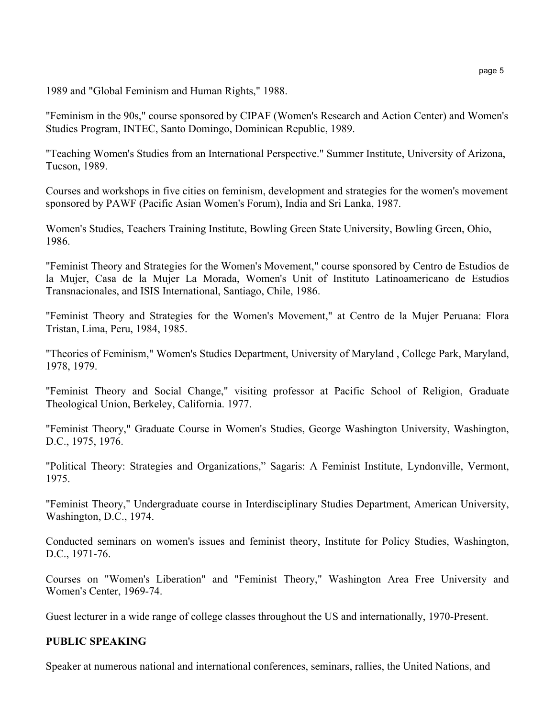1989 and "Global Feminism and Human Rights," 1988.

"Feminism in the 90s," course sponsored by CIPAF (Women's Research and Action Center) and Women's Studies Program, INTEC, Santo Domingo, Dominican Republic, 1989.

"Teaching Women's Studies from an International Perspective." Summer Institute, University of Arizona, Tucson, 1989.

Courses and workshops in five cities on feminism, development and strategies for the women's movement sponsored by PAWF (Pacific Asian Women's Forum), India and Sri Lanka, 1987.

Women's Studies, Teachers Training Institute, Bowling Green State University, Bowling Green, Ohio, 1986.

"Feminist Theory and Strategies for the Women's Movement," course sponsored by Centro de Estudios de la Mujer, Casa de la Mujer La Morada, Women's Unit of Instituto Latinoamericano de Estudios Transnacionales, and ISIS International, Santiago, Chile, 1986.

"Feminist Theory and Strategies for the Women's Movement," at Centro de la Mujer Peruana: Flora Tristan, Lima, Peru, 1984, 1985.

"Theories of Feminism," Women's Studies Department, University of Maryland , College Park, Maryland, 1978, 1979.

"Feminist Theory and Social Change," visiting professor at Pacific School of Religion, Graduate Theological Union, Berkeley, California. 1977.

"Feminist Theory," Graduate Course in Women's Studies, George Washington University, Washington, D.C., 1975, 1976.

"Political Theory: Strategies and Organizations," Sagaris: A Feminist Institute, Lyndonville, Vermont, 1975.

"Feminist Theory," Undergraduate course in Interdisciplinary Studies Department, American University, Washington, D.C., 1974.

Conducted seminars on women's issues and feminist theory, Institute for Policy Studies, Washington, D.C., 1971-76.

Courses on "Women's Liberation" and "Feminist Theory," Washington Area Free University and Women's Center, 1969-74.

Guest lecturer in a wide range of college classes throughout the US and internationally, 1970-Present.

#### **PUBLIC SPEAKING**

Speaker at numerous national and international conferences, seminars, rallies, the United Nations, and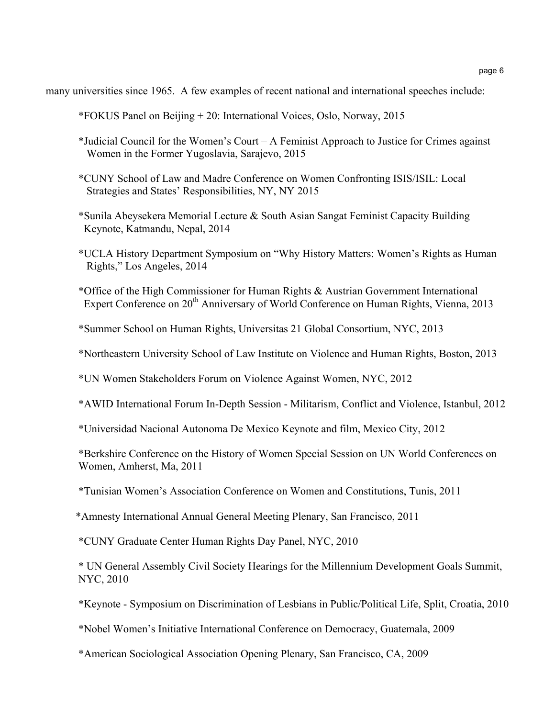page 6

many universities since 1965. A few examples of recent national and international speeches include:

- \*FOKUS Panel on Beijing + 20: International Voices, Oslo, Norway, 2015
- \*Judicial Council for the Women's Court A Feminist Approach to Justice for Crimes against Women in the Former Yugoslavia, Sarajevo, 2015
- \*CUNY School of Law and Madre Conference on Women Confronting ISIS/ISIL: Local Strategies and States' Responsibilities, NY, NY 2015
- \*Sunila Abeysekera Memorial Lecture & South Asian Sangat Feminist Capacity Building Keynote, Katmandu, Nepal, 2014
- \*UCLA History Department Symposium on "Why History Matters: Women's Rights as Human Rights," Los Angeles, 2014
- \*Office of the High Commissioner for Human Rights & Austrian Government International Expert Conference on 20<sup>th</sup> Anniversary of World Conference on Human Rights, Vienna, 2013
- \*Summer School on Human Rights, Universitas 21 Global Consortium, NYC, 2013
- \*Northeastern University School of Law Institute on Violence and Human Rights, Boston, 2013
- \*UN Women Stakeholders Forum on Violence Against Women, NYC, 2012
- \*AWID International Forum In-Depth Session Militarism, Conflict and Violence, Istanbul, 2012
- \*Universidad Nacional Autonoma De Mexico Keynote and film, Mexico City, 2012
- \*Berkshire Conference on the History of Women Special Session on UN World Conferences on Women, Amherst, Ma, 2011
- \*Tunisian Women's Association Conference on Women and Constitutions, Tunis, 2011
- \*Amnesty International Annual General Meeting Plenary, San Francisco, 2011
- \*CUNY Graduate Center Human Rights Day Panel, NYC, 2010
- \* UN General Assembly Civil Society Hearings for the Millennium Development Goals Summit, NYC, 2010
- \*Keynote Symposium on Discrimination of Lesbians in Public/Political Life, Split, Croatia, 2010
- \*Nobel Women's Initiative International Conference on Democracy, Guatemala, 2009
- \*American Sociological Association Opening Plenary, San Francisco, CA, 2009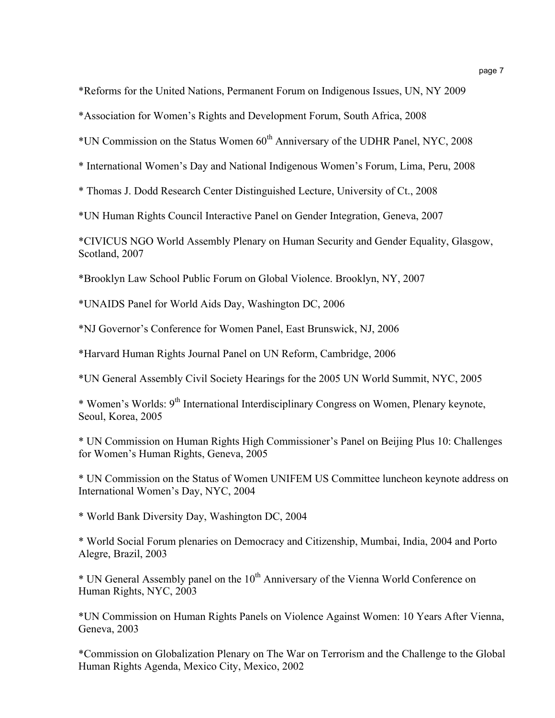\*Reforms for the United Nations, Permanent Forum on Indigenous Issues, UN, NY 2009

\*Association for Women's Rights and Development Forum, South Africa, 2008

\*UN Commission on the Status Women 60th Anniversary of the UDHR Panel, NYC, 2008

\* International Women's Day and National Indigenous Women's Forum, Lima, Peru, 2008

\* Thomas J. Dodd Research Center Distinguished Lecture, University of Ct., 2008

\*UN Human Rights Council Interactive Panel on Gender Integration, Geneva, 2007

\*CIVICUS NGO World Assembly Plenary on Human Security and Gender Equality, Glasgow, Scotland, 2007

\*Brooklyn Law School Public Forum on Global Violence. Brooklyn, NY, 2007

\*UNAIDS Panel for World Aids Day, Washington DC, 2006

\*NJ Governor's Conference for Women Panel, East Brunswick, NJ, 2006

\*Harvard Human Rights Journal Panel on UN Reform, Cambridge, 2006

\*UN General Assembly Civil Society Hearings for the 2005 UN World Summit, NYC, 2005

\* Women's Worlds: 9th International Interdisciplinary Congress on Women, Plenary keynote, Seoul, Korea, 2005

\* UN Commission on Human Rights High Commissioner's Panel on Beijing Plus 10: Challenges for Women's Human Rights, Geneva, 2005

\* UN Commission on the Status of Women UNIFEM US Committee luncheon keynote address on International Women's Day, NYC, 2004

\* World Bank Diversity Day, Washington DC, 2004

\* World Social Forum plenaries on Democracy and Citizenship, Mumbai, India, 2004 and Porto Alegre, Brazil, 2003

\* UN General Assembly panel on the 10<sup>th</sup> Anniversary of the Vienna World Conference on Human Rights, NYC, 2003

\*UN Commission on Human Rights Panels on Violence Against Women: 10 Years After Vienna, Geneva, 2003

\*Commission on Globalization Plenary on The War on Terrorism and the Challenge to the Global Human Rights Agenda, Mexico City, Mexico, 2002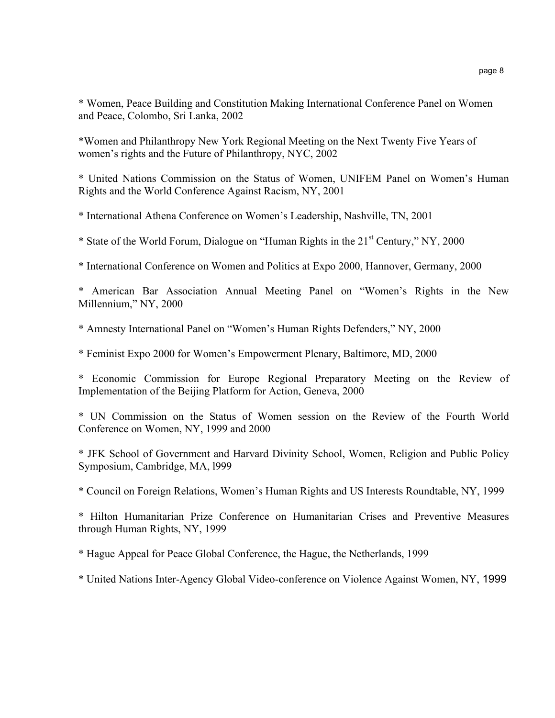\* Women, Peace Building and Constitution Making International Conference Panel on Women and Peace, Colombo, Sri Lanka, 2002

\*Women and Philanthropy New York Regional Meeting on the Next Twenty Five Years of women's rights and the Future of Philanthropy, NYC, 2002

\* United Nations Commission on the Status of Women, UNIFEM Panel on Women's Human Rights and the World Conference Against Racism, NY, 2001

\* International Athena Conference on Women's Leadership, Nashville, TN, 2001

\* State of the World Forum, Dialogue on "Human Rights in the 21st Century," NY, 2000

\* International Conference on Women and Politics at Expo 2000, Hannover, Germany, 2000

\* American Bar Association Annual Meeting Panel on "Women's Rights in the New Millennium," NY, 2000

\* Amnesty International Panel on "Women's Human Rights Defenders," NY, 2000

\* Feminist Expo 2000 for Women's Empowerment Plenary, Baltimore, MD, 2000

\* Economic Commission for Europe Regional Preparatory Meeting on the Review of Implementation of the Beijing Platform for Action, Geneva, 2000

\* UN Commission on the Status of Women session on the Review of the Fourth World Conference on Women, NY, 1999 and 2000

\* JFK School of Government and Harvard Divinity School, Women, Religion and Public Policy Symposium, Cambridge, MA, l999

\* Council on Foreign Relations, Women's Human Rights and US Interests Roundtable, NY, 1999

\* Hilton Humanitarian Prize Conference on Humanitarian Crises and Preventive Measures through Human Rights, NY, 1999

\* Hague Appeal for Peace Global Conference, the Hague, the Netherlands, 1999

\* United Nations Inter-Agency Global Video-conference on Violence Against Women, NY, 1999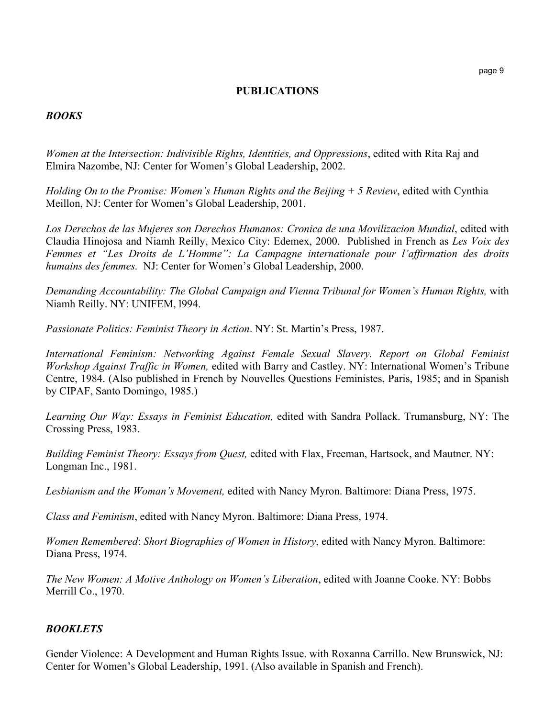#### **PUBLICATIONS**

#### *BOOKS*

*Women at the Intersection: Indivisible Rights, Identities, and Oppressions*, edited with Rita Raj and Elmira Nazombe, NJ: Center for Women's Global Leadership, 2002.

*Holding On to the Promise: Women's Human Rights and the Beijing + 5 Review*, edited with Cynthia Meillon, NJ: Center for Women's Global Leadership, 2001.

*Los Derechos de las Mujeres son Derechos Humanos: Cronica de una Movilizacion Mundial*, edited with Claudia Hinojosa and Niamh Reilly, Mexico City: Edemex, 2000. Published in French as *Les Voix des Femmes et "Les Droits de L'Homme": La Campagne internationale pour l'affirmation des droits humains des femmes.* NJ: Center for Women's Global Leadership, 2000.

*Demanding Accountability: The Global Campaign and Vienna Tribunal for Women's Human Rights,* with Niamh Reilly. NY: UNIFEM, l994.

*Passionate Politics: Feminist Theory in Action*. NY: St. Martin's Press, 1987.

*International Feminism: Networking Against Female Sexual Slavery. Report on Global Feminist Workshop Against Traffic in Women,* edited with Barry and Castley. NY: International Women's Tribune Centre, 1984. (Also published in French by Nouvelles Questions Feministes, Paris, 1985; and in Spanish by CIPAF, Santo Domingo, 1985.)

*Learning Our Way: Essays in Feminist Education,* edited with Sandra Pollack. Trumansburg, NY: The Crossing Press, 1983.

*Building Feminist Theory: Essays from Quest,* edited with Flax, Freeman, Hartsock, and Mautner. NY: Longman Inc., 1981.

*Lesbianism and the Woman's Movement,* edited with Nancy Myron. Baltimore: Diana Press, 1975.

*Class and Feminism*, edited with Nancy Myron. Baltimore: Diana Press, 1974.

*Women Remembered*: *Short Biographies of Women in History*, edited with Nancy Myron. Baltimore: Diana Press, 1974.

*The New Women: A Motive Anthology on Women's Liberation*, edited with Joanne Cooke. NY: Bobbs Merrill Co., 1970.

#### *BOOKLETS*

Gender Violence: A Development and Human Rights Issue. with Roxanna Carrillo. New Brunswick, NJ: Center for Women's Global Leadership, 1991. (Also available in Spanish and French).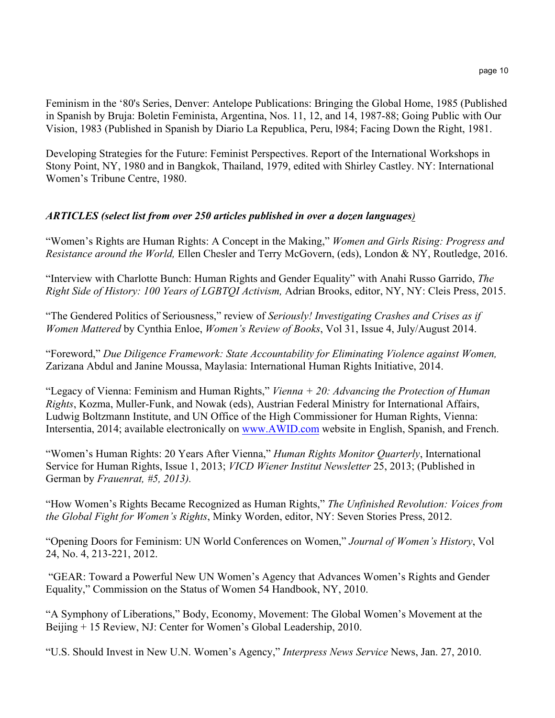Feminism in the '80's Series, Denver: Antelope Publications: Bringing the Global Home, 1985 (Published in Spanish by Bruja: Boletin Feminista, Argentina, Nos. 11, 12, and 14, 1987-88; Going Public with Our Vision, 1983 (Published in Spanish by Diario La Republica, Peru, l984; Facing Down the Right, 1981.

Developing Strategies for the Future: Feminist Perspectives. Report of the International Workshops in Stony Point, NY, 1980 and in Bangkok, Thailand, 1979, edited with Shirley Castley. NY: International Women's Tribune Centre, 1980.

## *ARTICLES (select list from over 250 articles published in over a dozen languages)*

"Women's Rights are Human Rights: A Concept in the Making," *Women and Girls Rising: Progress and Resistance around the World,* Ellen Chesler and Terry McGovern, (eds), London & NY, Routledge, 2016.

"Interview with Charlotte Bunch: Human Rights and Gender Equality" with Anahi Russo Garrido, *The Right Side of History: 100 Years of LGBTQI Activism,* Adrian Brooks, editor, NY, NY: Cleis Press, 2015.

"The Gendered Politics of Seriousness," review of *Seriously! Investigating Crashes and Crises as if Women Mattered* by Cynthia Enloe, *Women's Review of Books*, Vol 31, Issue 4, July/August 2014.

"Foreword," *Due Diligence Framework: State Accountability for Eliminating Violence against Women,* Zarizana Abdul and Janine Moussa, Maylasia: International Human Rights Initiative, 2014.

"Legacy of Vienna: Feminism and Human Rights," *Vienna + 20: Advancing the Protection of Human Rights*, Kozma, Muller-Funk, and Nowak (eds), Austrian Federal Ministry for International Affairs, Ludwig Boltzmann Institute, and UN Office of the High Commissioner for Human Rights, Vienna: Intersentia, 2014; available electronically on www.AWID.com website in English, Spanish, and French.

"Women's Human Rights: 20 Years After Vienna," *Human Rights Monitor Quarterly*, International Service for Human Rights, Issue 1, 2013; *VICD Wiener Institut Newsletter* 25, 2013; (Published in German by *Frauenrat, #5, 2013).*

"How Women's Rights Became Recognized as Human Rights," *The Unfinished Revolution: Voices from the Global Fight for Women's Rights*, Minky Worden, editor, NY: Seven Stories Press, 2012.

"Opening Doors for Feminism: UN World Conferences on Women," *Journal of Women's History*, Vol 24, No. 4, 213-221, 2012.

"GEAR: Toward a Powerful New UN Women's Agency that Advances Women's Rights and Gender Equality," Commission on the Status of Women 54 Handbook, NY, 2010.

"A Symphony of Liberations," Body, Economy, Movement: The Global Women's Movement at the Beijing + 15 Review, NJ: Center for Women's Global Leadership, 2010.

"U.S. Should Invest in New U.N. Women's Agency," *Interpress News Service* News, Jan. 27, 2010.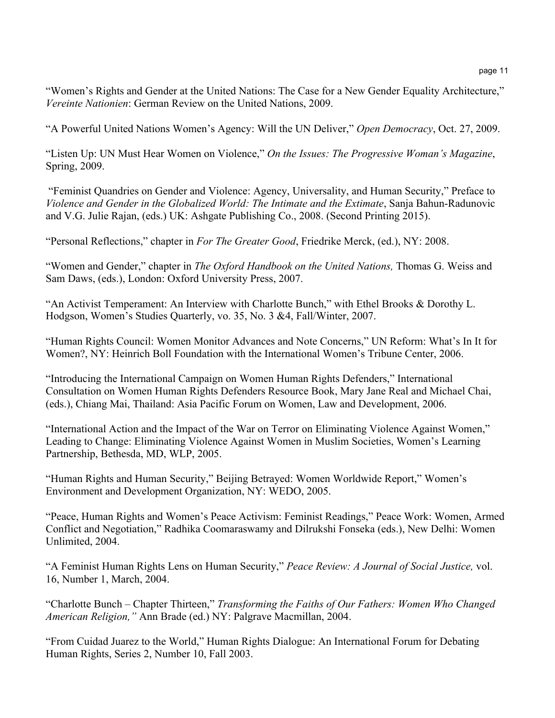"Women's Rights and Gender at the United Nations: The Case for a New Gender Equality Architecture," *Vereinte Nationien*: German Review on the United Nations, 2009.

"A Powerful United Nations Women's Agency: Will the UN Deliver," *Open Democracy*, Oct. 27, 2009.

"Listen Up: UN Must Hear Women on Violence," *On the Issues: The Progressive Woman's Magazine*, Spring, 2009.

"Feminist Quandries on Gender and Violence: Agency, Universality, and Human Security," Preface to *Violence and Gender in the Globalized World: The Intimate and the Extimate*, Sanja Bahun-Radunovic and V.G. Julie Rajan, (eds.) UK: Ashgate Publishing Co., 2008. (Second Printing 2015).

"Personal Reflections," chapter in *For The Greater Good*, Friedrike Merck, (ed.), NY: 2008.

"Women and Gender," chapter in *The Oxford Handbook on the United Nations,* Thomas G. Weiss and Sam Daws, (eds.), London: Oxford University Press, 2007.

"An Activist Temperament: An Interview with Charlotte Bunch," with Ethel Brooks & Dorothy L. Hodgson, Women's Studies Quarterly, vo. 35, No. 3 &4, Fall/Winter, 2007.

"Human Rights Council: Women Monitor Advances and Note Concerns," UN Reform: What's In It for Women?, NY: Heinrich Boll Foundation with the International Women's Tribune Center, 2006.

"Introducing the International Campaign on Women Human Rights Defenders," International Consultation on Women Human Rights Defenders Resource Book, Mary Jane Real and Michael Chai, (eds.), Chiang Mai, Thailand: Asia Pacific Forum on Women, Law and Development, 2006.

"International Action and the Impact of the War on Terror on Eliminating Violence Against Women," Leading to Change: Eliminating Violence Against Women in Muslim Societies, Women's Learning Partnership, Bethesda, MD, WLP, 2005.

"Human Rights and Human Security," Beijing Betrayed: Women Worldwide Report," Women's Environment and Development Organization, NY: WEDO, 2005.

"Peace, Human Rights and Women's Peace Activism: Feminist Readings," Peace Work: Women, Armed Conflict and Negotiation," Radhika Coomaraswamy and Dilrukshi Fonseka (eds.), New Delhi: Women Unlimited, 2004.

"A Feminist Human Rights Lens on Human Security," *Peace Review: A Journal of Social Justice,* vol. 16, Number 1, March, 2004.

"Charlotte Bunch – Chapter Thirteen," *Transforming the Faiths of Our Fathers: Women Who Changed American Religion,"* Ann Brade (ed.) NY: Palgrave Macmillan, 2004.

"From Cuidad Juarez to the World," Human Rights Dialogue: An International Forum for Debating Human Rights, Series 2, Number 10, Fall 2003.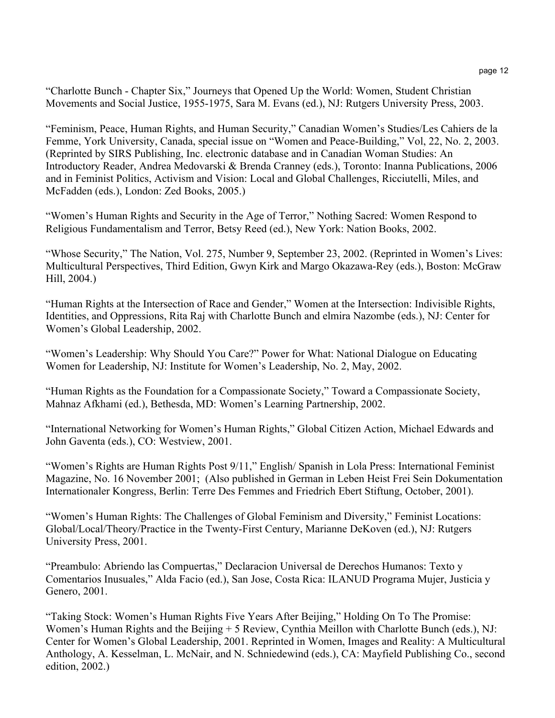"Charlotte Bunch - Chapter Six," Journeys that Opened Up the World: Women, Student Christian Movements and Social Justice, 1955-1975, Sara M. Evans (ed.), NJ: Rutgers University Press, 2003.

"Feminism, Peace, Human Rights, and Human Security," Canadian Women's Studies/Les Cahiers de la Femme, York University, Canada, special issue on "Women and Peace-Building," Vol, 22, No. 2, 2003. (Reprinted by SIRS Publishing, Inc. electronic database and in Canadian Woman Studies: An Introductory Reader, Andrea Medovarski & Brenda Cranney (eds.), Toronto: Inanna Publications, 2006 and in Feminist Politics, Activism and Vision: Local and Global Challenges, Ricciutelli, Miles, and McFadden (eds.), London: Zed Books, 2005.)

"Women's Human Rights and Security in the Age of Terror," Nothing Sacred: Women Respond to Religious Fundamentalism and Terror, Betsy Reed (ed.), New York: Nation Books, 2002.

"Whose Security," The Nation, Vol. 275, Number 9, September 23, 2002. (Reprinted in Women's Lives: Multicultural Perspectives, Third Edition, Gwyn Kirk and Margo Okazawa-Rey (eds.), Boston: McGraw Hill, 2004.)

"Human Rights at the Intersection of Race and Gender," Women at the Intersection: Indivisible Rights, Identities, and Oppressions, Rita Raj with Charlotte Bunch and elmira Nazombe (eds.), NJ: Center for Women's Global Leadership, 2002.

"Women's Leadership: Why Should You Care?" Power for What: National Dialogue on Educating Women for Leadership, NJ: Institute for Women's Leadership, No. 2, May, 2002.

"Human Rights as the Foundation for a Compassionate Society," Toward a Compassionate Society, Mahnaz Afkhami (ed.), Bethesda, MD: Women's Learning Partnership, 2002.

"International Networking for Women's Human Rights," Global Citizen Action, Michael Edwards and John Gaventa (eds.), CO: Westview, 2001.

"Women's Rights are Human Rights Post 9/11," English/ Spanish in Lola Press: International Feminist Magazine, No. 16 November 2001; (Also published in German in Leben Heist Frei Sein Dokumentation Internationaler Kongress, Berlin: Terre Des Femmes and Friedrich Ebert Stiftung, October, 2001).

"Women's Human Rights: The Challenges of Global Feminism and Diversity," Feminist Locations: Global/Local/Theory/Practice in the Twenty-First Century, Marianne DeKoven (ed.), NJ: Rutgers University Press, 2001.

"Preambulo: Abriendo las Compuertas," Declaracion Universal de Derechos Humanos: Texto y Comentarios Inusuales," Alda Facio (ed.), San Jose, Costa Rica: ILANUD Programa Mujer, Justicia y Genero, 2001.

"Taking Stock: Women's Human Rights Five Years After Beijing," Holding On To The Promise: Women's Human Rights and the Beijing + 5 Review, Cynthia Meillon with Charlotte Bunch (eds.), NJ: Center for Women's Global Leadership, 2001. Reprinted in Women, Images and Reality: A Multicultural Anthology, A. Kesselman, L. McNair, and N. Schniedewind (eds.), CA: Mayfield Publishing Co., second edition, 2002.)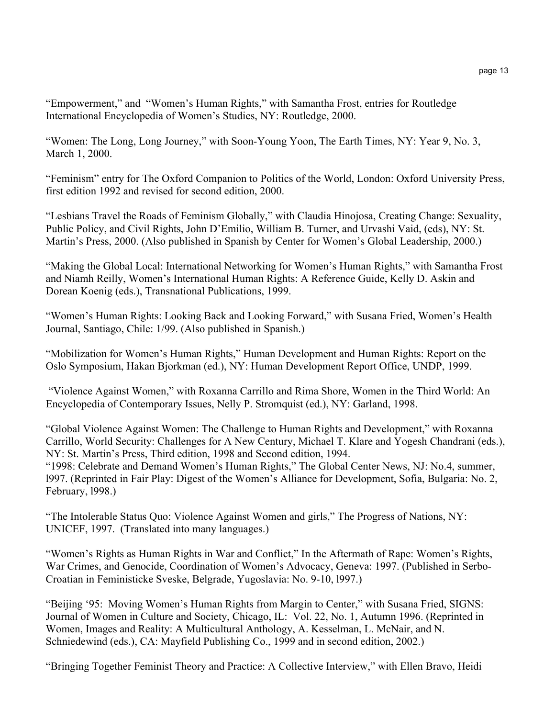"Empowerment," and "Women's Human Rights," with Samantha Frost, entries for Routledge International Encyclopedia of Women's Studies, NY: Routledge, 2000.

"Women: The Long, Long Journey," with Soon-Young Yoon, The Earth Times, NY: Year 9, No. 3, March 1, 2000.

"Feminism" entry for The Oxford Companion to Politics of the World, London: Oxford University Press, first edition 1992 and revised for second edition, 2000.

"Lesbians Travel the Roads of Feminism Globally," with Claudia Hinojosa, Creating Change: Sexuality, Public Policy, and Civil Rights, John D'Emilio, William B. Turner, and Urvashi Vaid, (eds), NY: St. Martin's Press, 2000. (Also published in Spanish by Center for Women's Global Leadership, 2000.)

"Making the Global Local: International Networking for Women's Human Rights," with Samantha Frost and Niamh Reilly, Women's International Human Rights: A Reference Guide, Kelly D. Askin and Dorean Koenig (eds.), Transnational Publications, 1999.

"Women's Human Rights: Looking Back and Looking Forward," with Susana Fried, Women's Health Journal, Santiago, Chile: 1/99. (Also published in Spanish.)

"Mobilization for Women's Human Rights," Human Development and Human Rights: Report on the Oslo Symposium, Hakan Bjorkman (ed.), NY: Human Development Report Office, UNDP, 1999.

"Violence Against Women," with Roxanna Carrillo and Rima Shore, Women in the Third World: An Encyclopedia of Contemporary Issues, Nelly P. Stromquist (ed.), NY: Garland, 1998.

"Global Violence Against Women: The Challenge to Human Rights and Development," with Roxanna Carrillo, World Security: Challenges for A New Century, Michael T. Klare and Yogesh Chandrani (eds.), NY: St. Martin's Press, Third edition, 1998 and Second edition, 1994.

"1998: Celebrate and Demand Women's Human Rights," The Global Center News, NJ: No.4, summer, l997. (Reprinted in Fair Play: Digest of the Women's Alliance for Development, Sofia, Bulgaria: No. 2, February, l998.)

"The Intolerable Status Quo: Violence Against Women and girls," The Progress of Nations, NY: UNICEF, 1997. (Translated into many languages.)

"Women's Rights as Human Rights in War and Conflict," In the Aftermath of Rape: Women's Rights, War Crimes, and Genocide, Coordination of Women's Advocacy, Geneva: 1997. (Published in Serbo-Croatian in Feministicke Sveske, Belgrade, Yugoslavia: No. 9-10, l997.)

"Beijing '95: Moving Women's Human Rights from Margin to Center," with Susana Fried, SIGNS: Journal of Women in Culture and Society, Chicago, IL: Vol. 22, No. 1, Autumn 1996. (Reprinted in Women, Images and Reality: A Multicultural Anthology, A. Kesselman, L. McNair, and N. Schniedewind (eds.), CA: Mayfield Publishing Co., 1999 and in second edition, 2002.)

"Bringing Together Feminist Theory and Practice: A Collective Interview," with Ellen Bravo, Heidi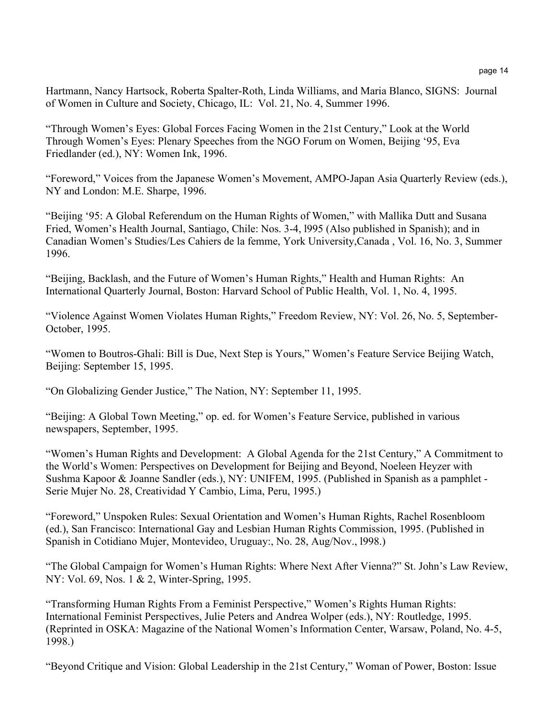Hartmann, Nancy Hartsock, Roberta Spalter-Roth, Linda Williams, and Maria Blanco, SIGNS: Journal of Women in Culture and Society, Chicago, IL: Vol. 21, No. 4, Summer 1996.

"Through Women's Eyes: Global Forces Facing Women in the 21st Century," Look at the World Through Women's Eyes: Plenary Speeches from the NGO Forum on Women, Beijing '95, Eva Friedlander (ed.), NY: Women Ink, 1996.

"Foreword," Voices from the Japanese Women's Movement, AMPO-Japan Asia Quarterly Review (eds.), NY and London: M.E. Sharpe, 1996.

"Beijing '95: A Global Referendum on the Human Rights of Women," with Mallika Dutt and Susana Fried, Women's Health Journal, Santiago, Chile: Nos. 3-4, l995 (Also published in Spanish); and in Canadian Women's Studies/Les Cahiers de la femme, York University,Canada , Vol. 16, No. 3, Summer 1996.

"Beijing, Backlash, and the Future of Women's Human Rights," Health and Human Rights: An International Quarterly Journal, Boston: Harvard School of Public Health, Vol. 1, No. 4, 1995.

"Violence Against Women Violates Human Rights," Freedom Review, NY: Vol. 26, No. 5, September-October, 1995.

"Women to Boutros-Ghali: Bill is Due, Next Step is Yours," Women's Feature Service Beijing Watch, Beijing: September 15, 1995.

"On Globalizing Gender Justice," The Nation, NY: September 11, 1995.

"Beijing: A Global Town Meeting," op. ed. for Women's Feature Service, published in various newspapers, September, 1995.

"Women's Human Rights and Development: A Global Agenda for the 21st Century," A Commitment to the World's Women: Perspectives on Development for Beijing and Beyond, Noeleen Heyzer with Sushma Kapoor & Joanne Sandler (eds.), NY: UNIFEM, 1995. (Published in Spanish as a pamphlet - Serie Mujer No. 28, Creatividad Y Cambio, Lima, Peru, 1995.)

"Foreword," Unspoken Rules: Sexual Orientation and Women's Human Rights, Rachel Rosenbloom (ed.), San Francisco: International Gay and Lesbian Human Rights Commission, 1995. (Published in Spanish in Cotidiano Mujer, Montevideo, Uruguay:, No. 28, Aug/Nov., l998.)

"The Global Campaign for Women's Human Rights: Where Next After Vienna?" St. John's Law Review, NY: Vol. 69, Nos. 1 & 2, Winter-Spring, 1995.

"Transforming Human Rights From a Feminist Perspective," Women's Rights Human Rights: International Feminist Perspectives, Julie Peters and Andrea Wolper (eds.), NY: Routledge, 1995. (Reprinted in OSKA: Magazine of the National Women's Information Center, Warsaw, Poland, No. 4-5, 1998.)

"Beyond Critique and Vision: Global Leadership in the 21st Century," Woman of Power, Boston: Issue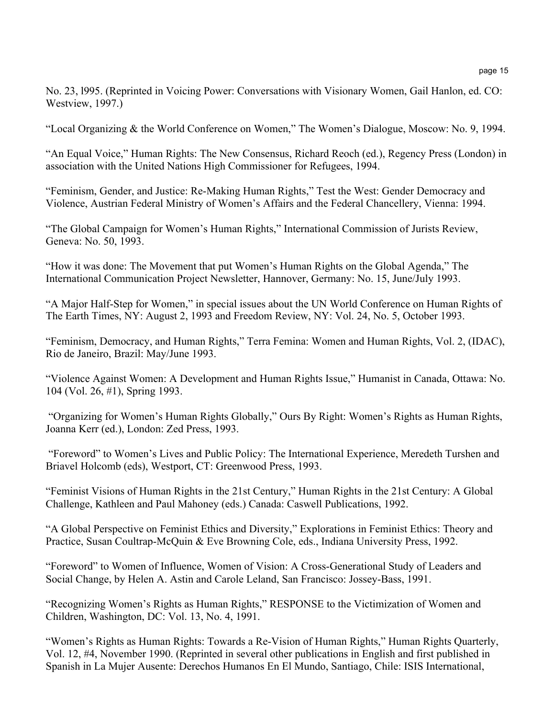No. 23, l995. (Reprinted in Voicing Power: Conversations with Visionary Women, Gail Hanlon, ed. CO: Westview, 1997.)

"Local Organizing & the World Conference on Women," The Women's Dialogue, Moscow: No. 9, 1994.

"An Equal Voice," Human Rights: The New Consensus, Richard Reoch (ed.), Regency Press (London) in association with the United Nations High Commissioner for Refugees, 1994.

"Feminism, Gender, and Justice: Re-Making Human Rights," Test the West: Gender Democracy and Violence, Austrian Federal Ministry of Women's Affairs and the Federal Chancellery, Vienna: 1994.

"The Global Campaign for Women's Human Rights," International Commission of Jurists Review, Geneva: No. 50, 1993.

"How it was done: The Movement that put Women's Human Rights on the Global Agenda," The International Communication Project Newsletter, Hannover, Germany: No. 15, June/July 1993.

"A Major Half-Step for Women," in special issues about the UN World Conference on Human Rights of The Earth Times, NY: August 2, 1993 and Freedom Review, NY: Vol. 24, No. 5, October 1993.

"Feminism, Democracy, and Human Rights," Terra Femina: Women and Human Rights, Vol. 2, (IDAC), Rio de Janeiro, Brazil: May/June 1993.

"Violence Against Women: A Development and Human Rights Issue," Humanist in Canada, Ottawa: No. 104 (Vol. 26, #1), Spring 1993.

"Organizing for Women's Human Rights Globally," Ours By Right: Women's Rights as Human Rights, Joanna Kerr (ed.), London: Zed Press, 1993.

"Foreword" to Women's Lives and Public Policy: The International Experience, Meredeth Turshen and Briavel Holcomb (eds), Westport, CT: Greenwood Press, 1993.

"Feminist Visions of Human Rights in the 21st Century," Human Rights in the 21st Century: A Global Challenge, Kathleen and Paul Mahoney (eds.) Canada: Caswell Publications, 1992.

"A Global Perspective on Feminist Ethics and Diversity," Explorations in Feminist Ethics: Theory and Practice, Susan Coultrap-McQuin & Eve Browning Cole, eds., Indiana University Press, 1992.

"Foreword" to Women of Influence, Women of Vision: A Cross-Generational Study of Leaders and Social Change, by Helen A. Astin and Carole Leland, San Francisco: Jossey-Bass, 1991.

"Recognizing Women's Rights as Human Rights," RESPONSE to the Victimization of Women and Children, Washington, DC: Vol. 13, No. 4, 1991.

"Women's Rights as Human Rights: Towards a Re-Vision of Human Rights," Human Rights Quarterly, Vol. 12, #4, November 1990. (Reprinted in several other publications in English and first published in Spanish in La Mujer Ausente: Derechos Humanos En El Mundo, Santiago, Chile: ISIS International,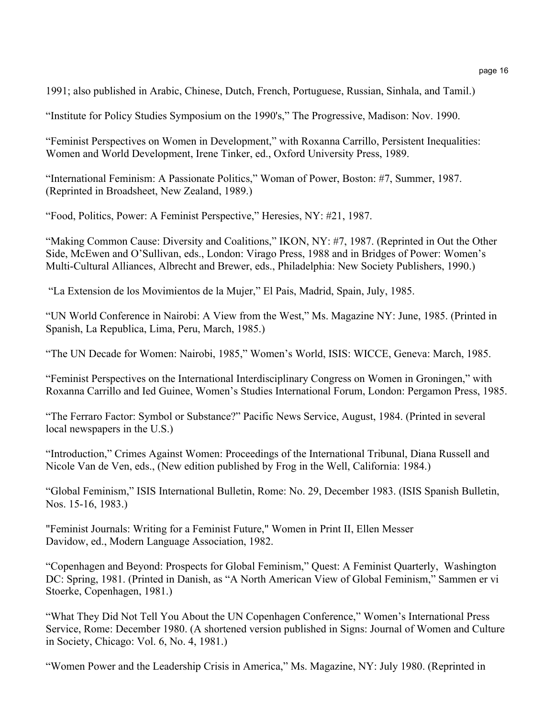1991; also published in Arabic, Chinese, Dutch, French, Portuguese, Russian, Sinhala, and Tamil.)

"Institute for Policy Studies Symposium on the 1990's," The Progressive, Madison: Nov. 1990.

"Feminist Perspectives on Women in Development," with Roxanna Carrillo, Persistent Inequalities: Women and World Development, Irene Tinker, ed., Oxford University Press, 1989.

"International Feminism: A Passionate Politics," Woman of Power, Boston: #7, Summer, 1987. (Reprinted in Broadsheet, New Zealand, 1989.)

"Food, Politics, Power: A Feminist Perspective," Heresies, NY: #21, 1987.

"Making Common Cause: Diversity and Coalitions," IKON, NY: #7, 1987. (Reprinted in Out the Other Side, McEwen and O'Sullivan, eds., London: Virago Press, 1988 and in Bridges of Power: Women's Multi-Cultural Alliances, Albrecht and Brewer, eds., Philadelphia: New Society Publishers, 1990.)

"La Extension de los Movimientos de la Mujer," El Pais, Madrid, Spain, July, 1985.

"UN World Conference in Nairobi: A View from the West," Ms. Magazine NY: June, 1985. (Printed in Spanish, La Republica, Lima, Peru, March, 1985.)

"The UN Decade for Women: Nairobi, 1985," Women's World, ISIS: WICCE, Geneva: March, 1985.

"Feminist Perspectives on the International Interdisciplinary Congress on Women in Groningen," with Roxanna Carrillo and Ied Guinee, Women's Studies International Forum, London: Pergamon Press, 1985.

"The Ferraro Factor: Symbol or Substance?" Pacific News Service, August, 1984. (Printed in several local newspapers in the U.S.)

"Introduction," Crimes Against Women: Proceedings of the International Tribunal, Diana Russell and Nicole Van de Ven, eds., (New edition published by Frog in the Well, California: 1984.)

"Global Feminism," ISIS International Bulletin, Rome: No. 29, December 1983. (ISIS Spanish Bulletin, Nos. 15-16, 1983.)

"Feminist Journals: Writing for a Feminist Future," Women in Print II, Ellen Messer Davidow, ed., Modern Language Association, 1982.

"Copenhagen and Beyond: Prospects for Global Feminism," Quest: A Feminist Quarterly, Washington DC: Spring, 1981. (Printed in Danish, as "A North American View of Global Feminism," Sammen er vi Stoerke, Copenhagen, 1981.)

"What They Did Not Tell You About the UN Copenhagen Conference," Women's International Press Service, Rome: December 1980. (A shortened version published in Signs: Journal of Women and Culture in Society, Chicago: Vol. 6, No. 4, 1981.)

"Women Power and the Leadership Crisis in America," Ms. Magazine, NY: July 1980. (Reprinted in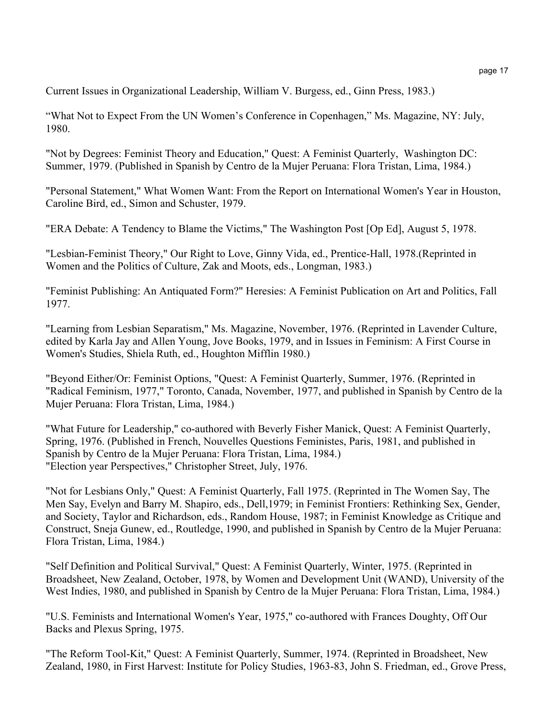Current Issues in Organizational Leadership, William V. Burgess, ed., Ginn Press, 1983.)

"What Not to Expect From the UN Women's Conference in Copenhagen," Ms. Magazine, NY: July, 1980.

"Not by Degrees: Feminist Theory and Education," Quest: A Feminist Quarterly, Washington DC: Summer, 1979. (Published in Spanish by Centro de la Mujer Peruana: Flora Tristan, Lima, 1984.)

"Personal Statement," What Women Want: From the Report on International Women's Year in Houston, Caroline Bird, ed., Simon and Schuster, 1979.

"ERA Debate: A Tendency to Blame the Victims," The Washington Post [Op Ed], August 5, 1978.

"Lesbian-Feminist Theory," Our Right to Love, Ginny Vida, ed., Prentice-Hall, 1978.(Reprinted in Women and the Politics of Culture, Zak and Moots, eds., Longman, 1983.)

"Feminist Publishing: An Antiquated Form?" Heresies: A Feminist Publication on Art and Politics, Fall 1977.

"Learning from Lesbian Separatism," Ms. Magazine, November, 1976. (Reprinted in Lavender Culture, edited by Karla Jay and Allen Young, Jove Books, 1979, and in Issues in Feminism: A First Course in Women's Studies, Shiela Ruth, ed., Houghton Mifflin 1980.)

"Beyond Either/Or: Feminist Options, "Quest: A Feminist Quarterly, Summer, 1976. (Reprinted in "Radical Feminism, 1977," Toronto, Canada, November, 1977, and published in Spanish by Centro de la Mujer Peruana: Flora Tristan, Lima, 1984.)

"What Future for Leadership," co-authored with Beverly Fisher Manick, Quest: A Feminist Quarterly, Spring, 1976. (Published in French, Nouvelles Questions Feministes, Paris, 1981, and published in Spanish by Centro de la Mujer Peruana: Flora Tristan, Lima, 1984.) "Election year Perspectives," Christopher Street, July, 1976.

"Not for Lesbians Only," Quest: A Feminist Quarterly, Fall 1975. (Reprinted in The Women Say, The Men Say, Evelyn and Barry M. Shapiro, eds., Dell,1979; in Feminist Frontiers: Rethinking Sex, Gender, and Society, Taylor and Richardson, eds., Random House, 1987; in Feminist Knowledge as Critique and Construct, Sneja Gunew, ed., Routledge, 1990, and published in Spanish by Centro de la Mujer Peruana: Flora Tristan, Lima, 1984.)

"Self Definition and Political Survival," Quest: A Feminist Quarterly, Winter, 1975. (Reprinted in Broadsheet, New Zealand, October, 1978, by Women and Development Unit (WAND), University of the West Indies, 1980, and published in Spanish by Centro de la Mujer Peruana: Flora Tristan, Lima, 1984.)

"U.S. Feminists and International Women's Year, 1975," co-authored with Frances Doughty, Off Our Backs and Plexus Spring, 1975.

"The Reform Tool-Kit," Quest: A Feminist Quarterly, Summer, 1974. (Reprinted in Broadsheet, New Zealand, 1980, in First Harvest: Institute for Policy Studies, 1963-83, John S. Friedman, ed., Grove Press,